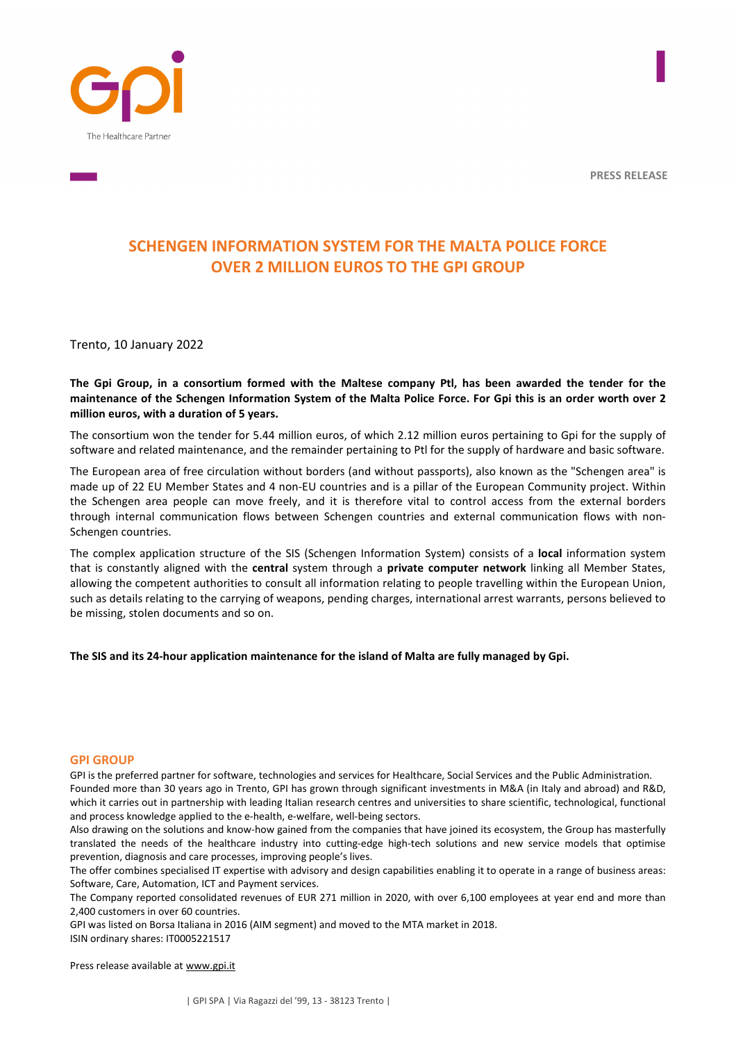**PRESS RELEASE**





# **SCHENGEN INFORMATION SYSTEM FOR THE MALTA POLICE FORCE OVER 2 MILLION EUROS TO THE GPI GROUP**

Trento, 10 January 2022

**The Gpi Group, in a consortium formed with the Maltese company Ptl, has been awarded the tender for the maintenance of the Schengen Information System of the Malta Police Force. For Gpi this is an order worth over 2 million euros, with a duration of 5 years.** 

The consortium won the tender for 5.44 million euros, of which 2.12 million euros pertaining to Gpi for the supply of software and related maintenance, and the remainder pertaining to Ptl for the supply of hardware and basic software.

The European area of free circulation without borders (and without passports), also known as the "Schengen area" is made up of 22 EU Member States and 4 non-EU countries and is a pillar of the European Community project. Within the Schengen area people can move freely, and it is therefore vital to control access from the external borders through internal communication flows between Schengen countries and external communication flows with non-Schengen countries.

The complex application structure of the SIS (Schengen Information System) consists of a **local** information system that is constantly aligned with the **central** system through a **private computer network** linking all Member States, allowing the competent authorities to consult all information relating to people travelling within the European Union, such as details relating to the carrying of weapons, pending charges, international arrest warrants, persons believed to be missing, stolen documents and so on.

**The SIS and its 24-hour application maintenance for the island of Malta are fully managed by Gpi.** 

#### **GPI GROUP**

GPI is the preferred partner for software, technologies and services for Healthcare, Social Services and the Public Administration. Founded more than 30 years ago in Trento, GPI has grown through significant investments in M&A (in Italy and abroad) and R&D, which it carries out in partnership with leading Italian research centres and universities to share scientific, technological, functional and process knowledge applied to the e-health, e-welfare, well-being sectors.

Also drawing on the solutions and know-how gained from the companies that have joined its ecosystem, the Group has masterfully translated the needs of the healthcare industry into cutting-edge high-tech solutions and new service models that optimise prevention, diagnosis and care processes, improving people's lives.

The offer combines specialised IT expertise with advisory and design capabilities enabling it to operate in a range of business areas: Software, Care, Automation, ICT and Payment services.

The Company reported consolidated revenues of EUR 271 million in 2020, with over 6,100 employees at year end and more than 2,400 customers in over 60 countries.

GPI was listed on Borsa Italiana in 2016 (AIM segment) and moved to the MTA market in 2018. ISIN ordinary shares: IT0005221517

Press release available at www.gpi.it